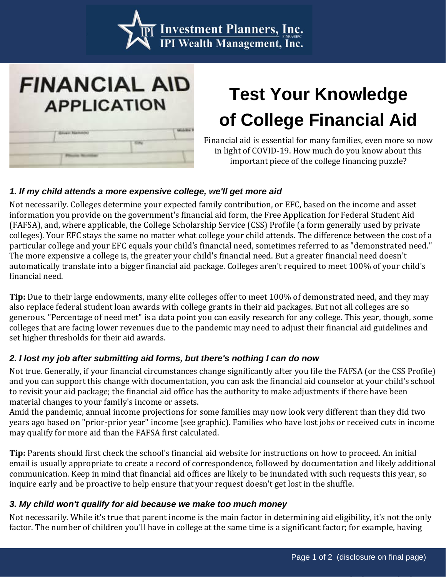

## **FINANCIAL AID APPLICATION**

# **Test Your Knowledge of College Financial Aid**

Financial aid is essential for many families, even more so now in light of COVID-19. How much do you know about this important piece of the college financing puzzle?

#### *1. If my child attends a more expensive college, we'll get more aid*

Not necessarily. Colleges determine your expected family contribution, or EFC, based on the income and asset information you provide on the government's financial aid form, the Free Application for Federal Student Aid (FAFSA), and, where applicable, the College Scholarship Service (CSS) Profile (a form generally used by private colleges). Your EFC stays the same no matter what college your child attends. The difference between the cost of a particular college and your EFC equals your child's financial need, sometimes referred to as "demonstrated need." The more expensive a college is, the greater your child's financial need. But a greater financial need doesn't automatically translate into a bigger financial aid package. Colleges aren't required to meet 100% of your child's financial need.

**Tip:** Due to their large endowments, many elite colleges offer to meet 100% of demonstrated need, and they may also replace federal student loan awards with college grants in their aid packages. But not all colleges are so generous. "Percentage of need met" is a data point you can easily research for any college. This year, though, some colleges that are facing lower revenues due to the pandemic may need to adjust their financial aid guidelines and set higher thresholds for their aid awards.

#### *2. I lost my job after submitting aid forms, but there's nothing I can do now*

Not true. Generally, if your financial circumstances change significantly after you file the FAFSA (or the CSS Profile) and you can support this change with documentation, you can ask the financial aid counselor at your child's school to revisit your aid package; the financial aid office has the authority to make adjustments if there have been material changes to your family's income or assets.

Amid the pandemic, annual income projections for some families may now look very different than they did two years ago based on "prior-prior year" income (see graphic). Families who have lost jobs or received cuts in income may qualify for more aid than the FAFSA first calculated.

**Tip:** Parents should first check the school's financial aid website for instructions on how to proceed. An initial email is usually appropriate to create a record of correspondence, followed by documentation and likely additional communication. Keep in mind that financial aid offices are likely to be inundated with such requests this year, so inquire early and be proactive to help ensure that your request doesn't get lost in the shuffle.

#### *3. My child won't qualify for aid because we make too much money*

Not necessarily. While it's true that parent income is the main factor in determining aid eligibility, it's not the only factor. The number of children you'll have in college at the same time is a significant factor; for example, having